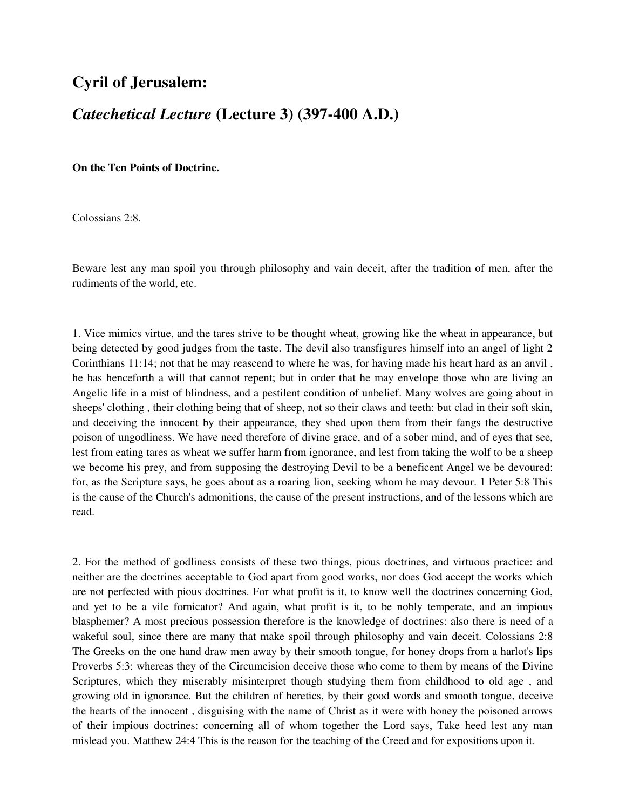## **Cyril of Jerusalem:**

## *Catechetical Lecture* **(Lecture 3) (397-400 A.D.)**

**On the Ten Points of Doctrine.** 

Colossians 2:8.

Beware lest any man spoil you through philosophy and vain deceit, after the tradition of men, after the rudiments of the world, etc.

1. Vice mimics virtue, and the tares strive to be thought wheat, growing like the wheat in appearance, but being detected by good judges from the taste. The devil also transfigures himself into an angel of light 2 Corinthians 11:14; not that he may reascend to where he was, for having made his heart hard as an anvil , he has henceforth a will that cannot repent; but in order that he may envelope those who are living an Angelic life in a mist of blindness, and a pestilent condition of unbelief. Many wolves are going about in sheeps' clothing , their clothing being that of sheep, not so their claws and teeth: but clad in their soft skin, and deceiving the innocent by their appearance, they shed upon them from their fangs the destructive poison of ungodliness. We have need therefore of divine grace, and of a sober mind, and of eyes that see, lest from eating tares as wheat we suffer harm from ignorance, and lest from taking the wolf to be a sheep we become his prey, and from supposing the destroying Devil to be a beneficent Angel we be devoured: for, as the Scripture says, he goes about as a roaring lion, seeking whom he may devour. 1 Peter 5:8 This is the cause of the Church's admonitions, the cause of the present instructions, and of the lessons which are read.

2. For the method of godliness consists of these two things, pious doctrines, and virtuous practice: and neither are the doctrines acceptable to God apart from good works, nor does God accept the works which are not perfected with pious doctrines. For what profit is it, to know well the doctrines concerning God, and yet to be a vile fornicator? And again, what profit is it, to be nobly temperate, and an impious blasphemer? A most precious possession therefore is the knowledge of doctrines: also there is need of a wakeful soul, since there are many that make spoil through philosophy and vain deceit. Colossians 2:8 The Greeks on the one hand draw men away by their smooth tongue, for honey drops from a harlot's lips Proverbs 5:3: whereas they of the Circumcision deceive those who come to them by means of the Divine Scriptures, which they miserably misinterpret though studying them from childhood to old age , and growing old in ignorance. But the children of heretics, by their good words and smooth tongue, deceive the hearts of the innocent , disguising with the name of Christ as it were with honey the poisoned arrows of their impious doctrines: concerning all of whom together the Lord says, Take heed lest any man mislead you. Matthew 24:4 This is the reason for the teaching of the Creed and for expositions upon it.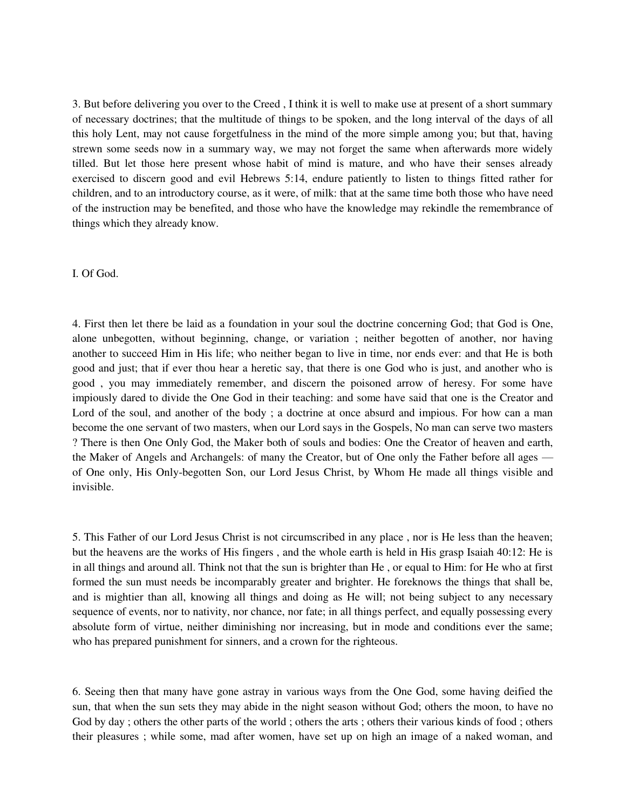3. But before delivering you over to the Creed , I think it is well to make use at present of a short summary of necessary doctrines; that the multitude of things to be spoken, and the long interval of the days of all this holy Lent, may not cause forgetfulness in the mind of the more simple among you; but that, having strewn some seeds now in a summary way, we may not forget the same when afterwards more widely tilled. But let those here present whose habit of mind is mature, and who have their senses already exercised to discern good and evil Hebrews 5:14, endure patiently to listen to things fitted rather for children, and to an introductory course, as it were, of milk: that at the same time both those who have need of the instruction may be benefited, and those who have the knowledge may rekindle the remembrance of things which they already know.

## I. Of God.

4. First then let there be laid as a foundation in your soul the doctrine concerning God; that God is One, alone unbegotten, without beginning, change, or variation ; neither begotten of another, nor having another to succeed Him in His life; who neither began to live in time, nor ends ever: and that He is both good and just; that if ever thou hear a heretic say, that there is one God who is just, and another who is good , you may immediately remember, and discern the poisoned arrow of heresy. For some have impiously dared to divide the One God in their teaching: and some have said that one is the Creator and Lord of the soul, and another of the body; a doctrine at once absurd and impious. For how can a man become the one servant of two masters, when our Lord says in the Gospels, No man can serve two masters ? There is then One Only God, the Maker both of souls and bodies: One the Creator of heaven and earth, the Maker of Angels and Archangels: of many the Creator, but of One only the Father before all ages of One only, His Only-begotten Son, our Lord Jesus Christ, by Whom He made all things visible and invisible.

5. This Father of our Lord Jesus Christ is not circumscribed in any place , nor is He less than the heaven; but the heavens are the works of His fingers , and the whole earth is held in His grasp Isaiah 40:12: He is in all things and around all. Think not that the sun is brighter than He , or equal to Him: for He who at first formed the sun must needs be incomparably greater and brighter. He foreknows the things that shall be, and is mightier than all, knowing all things and doing as He will; not being subject to any necessary sequence of events, nor to nativity, nor chance, nor fate; in all things perfect, and equally possessing every absolute form of virtue, neither diminishing nor increasing, but in mode and conditions ever the same; who has prepared punishment for sinners, and a crown for the righteous.

6. Seeing then that many have gone astray in various ways from the One God, some having deified the sun, that when the sun sets they may abide in the night season without God; others the moon, to have no God by day ; others the other parts of the world ; others the arts ; others their various kinds of food ; others their pleasures ; while some, mad after women, have set up on high an image of a naked woman, and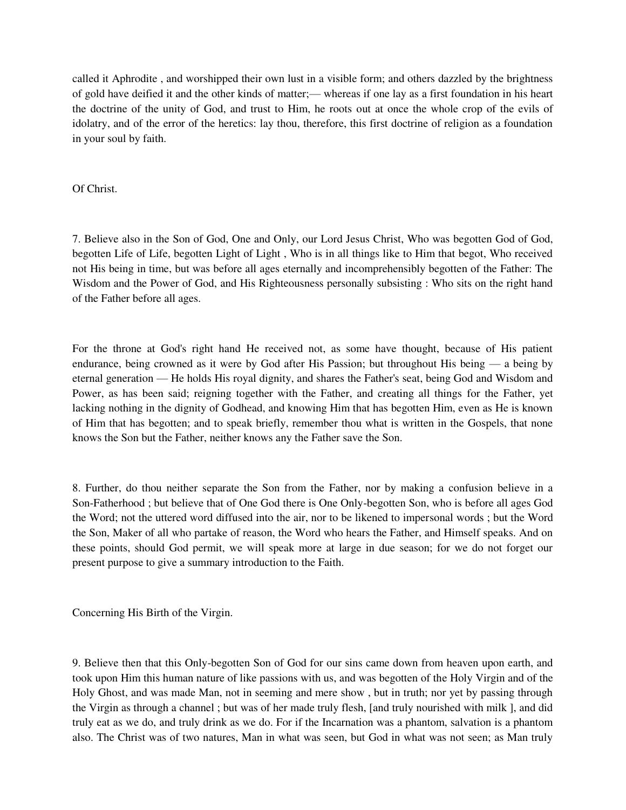called it Aphrodite , and worshipped their own lust in a visible form; and others dazzled by the brightness of gold have deified it and the other kinds of matter;— whereas if one lay as a first foundation in his heart the doctrine of the unity of God, and trust to Him, he roots out at once the whole crop of the evils of idolatry, and of the error of the heretics: lay thou, therefore, this first doctrine of religion as a foundation in your soul by faith.

Of Christ.

7. Believe also in the Son of God, One and Only, our Lord Jesus Christ, Who was begotten God of God, begotten Life of Life, begotten Light of Light , Who is in all things like to Him that begot, Who received not His being in time, but was before all ages eternally and incomprehensibly begotten of the Father: The Wisdom and the Power of God, and His Righteousness personally subsisting : Who sits on the right hand of the Father before all ages.

For the throne at God's right hand He received not, as some have thought, because of His patient endurance, being crowned as it were by God after His Passion; but throughout His being — a being by eternal generation — He holds His royal dignity, and shares the Father's seat, being God and Wisdom and Power, as has been said; reigning together with the Father, and creating all things for the Father, yet lacking nothing in the dignity of Godhead, and knowing Him that has begotten Him, even as He is known of Him that has begotten; and to speak briefly, remember thou what is written in the Gospels, that none knows the Son but the Father, neither knows any the Father save the Son.

8. Further, do thou neither separate the Son from the Father, nor by making a confusion believe in a Son-Fatherhood ; but believe that of One God there is One Only-begotten Son, who is before all ages God the Word; not the uttered word diffused into the air, nor to be likened to impersonal words ; but the Word the Son, Maker of all who partake of reason, the Word who hears the Father, and Himself speaks. And on these points, should God permit, we will speak more at large in due season; for we do not forget our present purpose to give a summary introduction to the Faith.

Concerning His Birth of the Virgin.

9. Believe then that this Only-begotten Son of God for our sins came down from heaven upon earth, and took upon Him this human nature of like passions with us, and was begotten of the Holy Virgin and of the Holy Ghost, and was made Man, not in seeming and mere show , but in truth; nor yet by passing through the Virgin as through a channel ; but was of her made truly flesh, [and truly nourished with milk ], and did truly eat as we do, and truly drink as we do. For if the Incarnation was a phantom, salvation is a phantom also. The Christ was of two natures, Man in what was seen, but God in what was not seen; as Man truly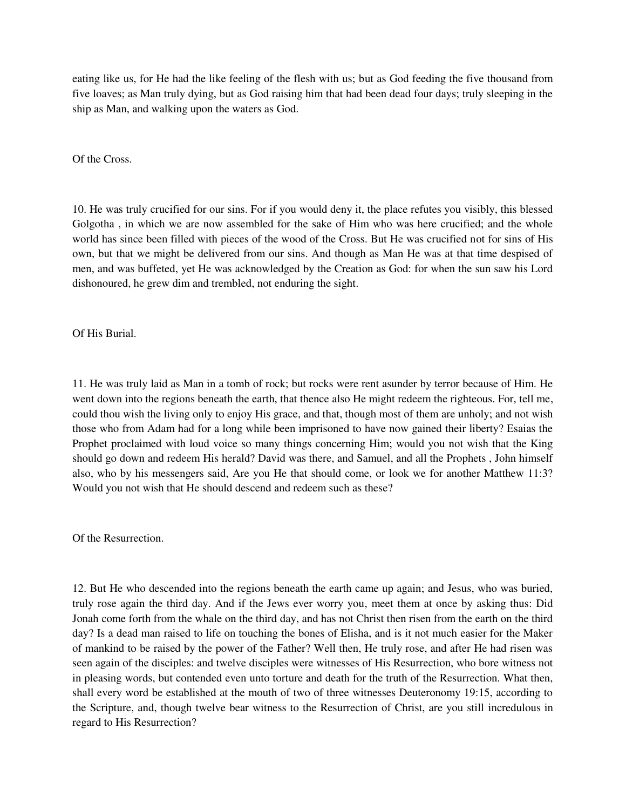eating like us, for He had the like feeling of the flesh with us; but as God feeding the five thousand from five loaves; as Man truly dying, but as God raising him that had been dead four days; truly sleeping in the ship as Man, and walking upon the waters as God.

Of the Cross.

10. He was truly crucified for our sins. For if you would deny it, the place refutes you visibly, this blessed Golgotha , in which we are now assembled for the sake of Him who was here crucified; and the whole world has since been filled with pieces of the wood of the Cross. But He was crucified not for sins of His own, but that we might be delivered from our sins. And though as Man He was at that time despised of men, and was buffeted, yet He was acknowledged by the Creation as God: for when the sun saw his Lord dishonoured, he grew dim and trembled, not enduring the sight.

Of His Burial.

11. He was truly laid as Man in a tomb of rock; but rocks were rent asunder by terror because of Him. He went down into the regions beneath the earth, that thence also He might redeem the righteous. For, tell me, could thou wish the living only to enjoy His grace, and that, though most of them are unholy; and not wish those who from Adam had for a long while been imprisoned to have now gained their liberty? Esaias the Prophet proclaimed with loud voice so many things concerning Him; would you not wish that the King should go down and redeem His herald? David was there, and Samuel, and all the Prophets , John himself also, who by his messengers said, Are you He that should come, or look we for another Matthew 11:3? Would you not wish that He should descend and redeem such as these?

Of the Resurrection.

12. But He who descended into the regions beneath the earth came up again; and Jesus, who was buried, truly rose again the third day. And if the Jews ever worry you, meet them at once by asking thus: Did Jonah come forth from the whale on the third day, and has not Christ then risen from the earth on the third day? Is a dead man raised to life on touching the bones of Elisha, and is it not much easier for the Maker of mankind to be raised by the power of the Father? Well then, He truly rose, and after He had risen was seen again of the disciples: and twelve disciples were witnesses of His Resurrection, who bore witness not in pleasing words, but contended even unto torture and death for the truth of the Resurrection. What then, shall every word be established at the mouth of two of three witnesses Deuteronomy 19:15, according to the Scripture, and, though twelve bear witness to the Resurrection of Christ, are you still incredulous in regard to His Resurrection?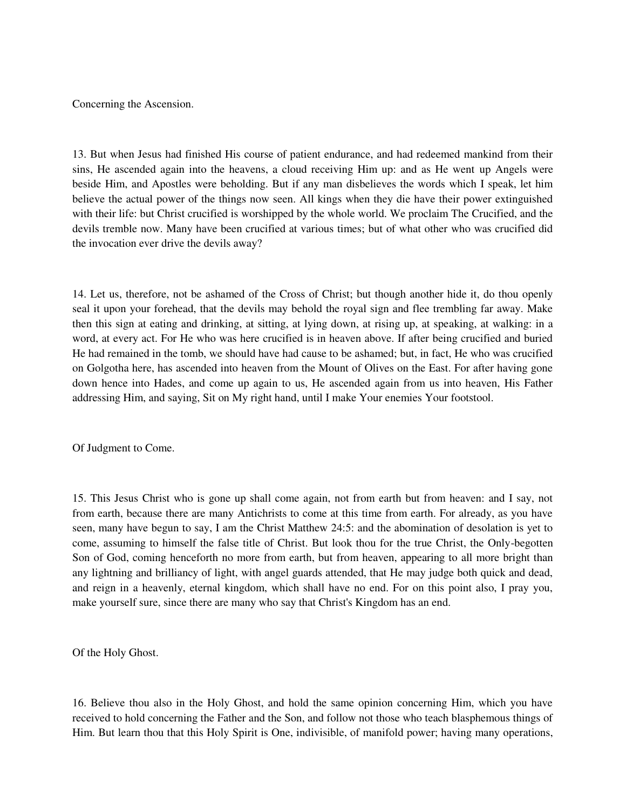Concerning the Ascension.

13. But when Jesus had finished His course of patient endurance, and had redeemed mankind from their sins, He ascended again into the heavens, a cloud receiving Him up: and as He went up Angels were beside Him, and Apostles were beholding. But if any man disbelieves the words which I speak, let him believe the actual power of the things now seen. All kings when they die have their power extinguished with their life: but Christ crucified is worshipped by the whole world. We proclaim The Crucified, and the devils tremble now. Many have been crucified at various times; but of what other who was crucified did the invocation ever drive the devils away?

14. Let us, therefore, not be ashamed of the Cross of Christ; but though another hide it, do thou openly seal it upon your forehead, that the devils may behold the royal sign and flee trembling far away. Make then this sign at eating and drinking, at sitting, at lying down, at rising up, at speaking, at walking: in a word, at every act. For He who was here crucified is in heaven above. If after being crucified and buried He had remained in the tomb, we should have had cause to be ashamed; but, in fact, He who was crucified on Golgotha here, has ascended into heaven from the Mount of Olives on the East. For after having gone down hence into Hades, and come up again to us, He ascended again from us into heaven, His Father addressing Him, and saying, Sit on My right hand, until I make Your enemies Your footstool.

Of Judgment to Come.

15. This Jesus Christ who is gone up shall come again, not from earth but from heaven: and I say, not from earth, because there are many Antichrists to come at this time from earth. For already, as you have seen, many have begun to say, I am the Christ Matthew 24:5: and the abomination of desolation is yet to come, assuming to himself the false title of Christ. But look thou for the true Christ, the Only-begotten Son of God, coming henceforth no more from earth, but from heaven, appearing to all more bright than any lightning and brilliancy of light, with angel guards attended, that He may judge both quick and dead, and reign in a heavenly, eternal kingdom, which shall have no end. For on this point also, I pray you, make yourself sure, since there are many who say that Christ's Kingdom has an end.

Of the Holy Ghost.

16. Believe thou also in the Holy Ghost, and hold the same opinion concerning Him, which you have received to hold concerning the Father and the Son, and follow not those who teach blasphemous things of Him. But learn thou that this Holy Spirit is One, indivisible, of manifold power; having many operations,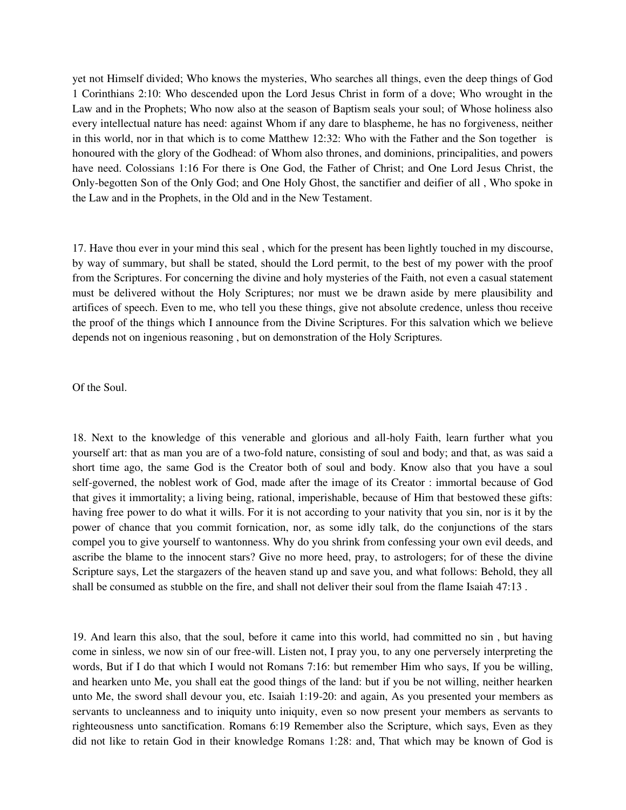yet not Himself divided; Who knows the mysteries, Who searches all things, even the deep things of God 1 Corinthians 2:10: Who descended upon the Lord Jesus Christ in form of a dove; Who wrought in the Law and in the Prophets; Who now also at the season of Baptism seals your soul; of Whose holiness also every intellectual nature has need: against Whom if any dare to blaspheme, he has no forgiveness, neither in this world, nor in that which is to come Matthew 12:32: Who with the Father and the Son together is honoured with the glory of the Godhead: of Whom also thrones, and dominions, principalities, and powers have need. Colossians 1:16 For there is One God, the Father of Christ; and One Lord Jesus Christ, the Only-begotten Son of the Only God; and One Holy Ghost, the sanctifier and deifier of all , Who spoke in the Law and in the Prophets, in the Old and in the New Testament.

17. Have thou ever in your mind this seal , which for the present has been lightly touched in my discourse, by way of summary, but shall be stated, should the Lord permit, to the best of my power with the proof from the Scriptures. For concerning the divine and holy mysteries of the Faith, not even a casual statement must be delivered without the Holy Scriptures; nor must we be drawn aside by mere plausibility and artifices of speech. Even to me, who tell you these things, give not absolute credence, unless thou receive the proof of the things which I announce from the Divine Scriptures. For this salvation which we believe depends not on ingenious reasoning , but on demonstration of the Holy Scriptures.

## Of the Soul.

18. Next to the knowledge of this venerable and glorious and all-holy Faith, learn further what you yourself art: that as man you are of a two-fold nature, consisting of soul and body; and that, as was said a short time ago, the same God is the Creator both of soul and body. Know also that you have a soul self-governed, the noblest work of God, made after the image of its Creator : immortal because of God that gives it immortality; a living being, rational, imperishable, because of Him that bestowed these gifts: having free power to do what it wills. For it is not according to your nativity that you sin, nor is it by the power of chance that you commit fornication, nor, as some idly talk, do the conjunctions of the stars compel you to give yourself to wantonness. Why do you shrink from confessing your own evil deeds, and ascribe the blame to the innocent stars? Give no more heed, pray, to astrologers; for of these the divine Scripture says, Let the stargazers of the heaven stand up and save you, and what follows: Behold, they all shall be consumed as stubble on the fire, and shall not deliver their soul from the flame Isaiah 47:13 .

19. And learn this also, that the soul, before it came into this world, had committed no sin , but having come in sinless, we now sin of our free-will. Listen not, I pray you, to any one perversely interpreting the words, But if I do that which I would not Romans 7:16: but remember Him who says, If you be willing, and hearken unto Me, you shall eat the good things of the land: but if you be not willing, neither hearken unto Me, the sword shall devour you, etc. Isaiah 1:19-20: and again, As you presented your members as servants to uncleanness and to iniquity unto iniquity, even so now present your members as servants to righteousness unto sanctification. Romans 6:19 Remember also the Scripture, which says, Even as they did not like to retain God in their knowledge Romans 1:28: and, That which may be known of God is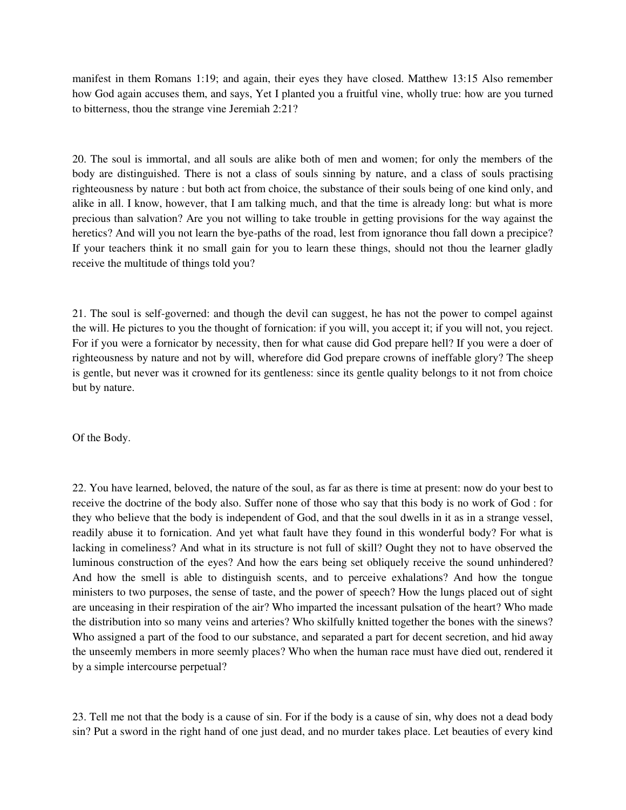manifest in them Romans 1:19; and again, their eyes they have closed. Matthew 13:15 Also remember how God again accuses them, and says, Yet I planted you a fruitful vine, wholly true: how are you turned to bitterness, thou the strange vine Jeremiah 2:21?

20. The soul is immortal, and all souls are alike both of men and women; for only the members of the body are distinguished. There is not a class of souls sinning by nature, and a class of souls practising righteousness by nature : but both act from choice, the substance of their souls being of one kind only, and alike in all. I know, however, that I am talking much, and that the time is already long: but what is more precious than salvation? Are you not willing to take trouble in getting provisions for the way against the heretics? And will you not learn the bye-paths of the road, lest from ignorance thou fall down a precipice? If your teachers think it no small gain for you to learn these things, should not thou the learner gladly receive the multitude of things told you?

21. The soul is self-governed: and though the devil can suggest, he has not the power to compel against the will. He pictures to you the thought of fornication: if you will, you accept it; if you will not, you reject. For if you were a fornicator by necessity, then for what cause did God prepare hell? If you were a doer of righteousness by nature and not by will, wherefore did God prepare crowns of ineffable glory? The sheep is gentle, but never was it crowned for its gentleness: since its gentle quality belongs to it not from choice but by nature.

Of the Body.

22. You have learned, beloved, the nature of the soul, as far as there is time at present: now do your best to receive the doctrine of the body also. Suffer none of those who say that this body is no work of God : for they who believe that the body is independent of God, and that the soul dwells in it as in a strange vessel, readily abuse it to fornication. And yet what fault have they found in this wonderful body? For what is lacking in comeliness? And what in its structure is not full of skill? Ought they not to have observed the luminous construction of the eyes? And how the ears being set obliquely receive the sound unhindered? And how the smell is able to distinguish scents, and to perceive exhalations? And how the tongue ministers to two purposes, the sense of taste, and the power of speech? How the lungs placed out of sight are unceasing in their respiration of the air? Who imparted the incessant pulsation of the heart? Who made the distribution into so many veins and arteries? Who skilfully knitted together the bones with the sinews? Who assigned a part of the food to our substance, and separated a part for decent secretion, and hid away the unseemly members in more seemly places? Who when the human race must have died out, rendered it by a simple intercourse perpetual?

23. Tell me not that the body is a cause of sin. For if the body is a cause of sin, why does not a dead body sin? Put a sword in the right hand of one just dead, and no murder takes place. Let beauties of every kind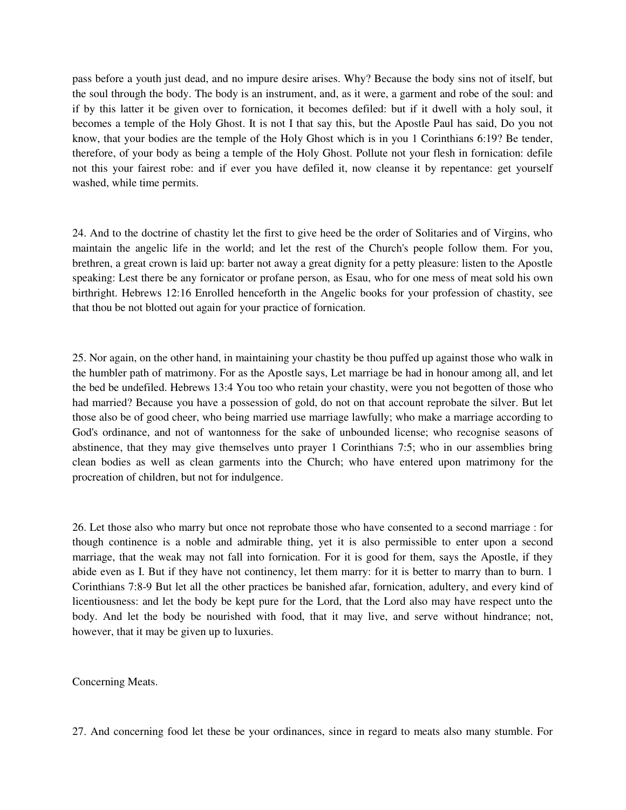pass before a youth just dead, and no impure desire arises. Why? Because the body sins not of itself, but the soul through the body. The body is an instrument, and, as it were, a garment and robe of the soul: and if by this latter it be given over to fornication, it becomes defiled: but if it dwell with a holy soul, it becomes a temple of the Holy Ghost. It is not I that say this, but the Apostle Paul has said, Do you not know, that your bodies are the temple of the Holy Ghost which is in you 1 Corinthians 6:19? Be tender, therefore, of your body as being a temple of the Holy Ghost. Pollute not your flesh in fornication: defile not this your fairest robe: and if ever you have defiled it, now cleanse it by repentance: get yourself washed, while time permits.

24. And to the doctrine of chastity let the first to give heed be the order of Solitaries and of Virgins, who maintain the angelic life in the world; and let the rest of the Church's people follow them. For you, brethren, a great crown is laid up: barter not away a great dignity for a petty pleasure: listen to the Apostle speaking: Lest there be any fornicator or profane person, as Esau, who for one mess of meat sold his own birthright. Hebrews 12:16 Enrolled henceforth in the Angelic books for your profession of chastity, see that thou be not blotted out again for your practice of fornication.

25. Nor again, on the other hand, in maintaining your chastity be thou puffed up against those who walk in the humbler path of matrimony. For as the Apostle says, Let marriage be had in honour among all, and let the bed be undefiled. Hebrews 13:4 You too who retain your chastity, were you not begotten of those who had married? Because you have a possession of gold, do not on that account reprobate the silver. But let those also be of good cheer, who being married use marriage lawfully; who make a marriage according to God's ordinance, and not of wantonness for the sake of unbounded license; who recognise seasons of abstinence, that they may give themselves unto prayer 1 Corinthians 7:5; who in our assemblies bring clean bodies as well as clean garments into the Church; who have entered upon matrimony for the procreation of children, but not for indulgence.

26. Let those also who marry but once not reprobate those who have consented to a second marriage : for though continence is a noble and admirable thing, yet it is also permissible to enter upon a second marriage, that the weak may not fall into fornication. For it is good for them, says the Apostle, if they abide even as I. But if they have not continency, let them marry: for it is better to marry than to burn. 1 Corinthians 7:8-9 But let all the other practices be banished afar, fornication, adultery, and every kind of licentiousness: and let the body be kept pure for the Lord, that the Lord also may have respect unto the body. And let the body be nourished with food, that it may live, and serve without hindrance; not, however, that it may be given up to luxuries.

Concerning Meats.

27. And concerning food let these be your ordinances, since in regard to meats also many stumble. For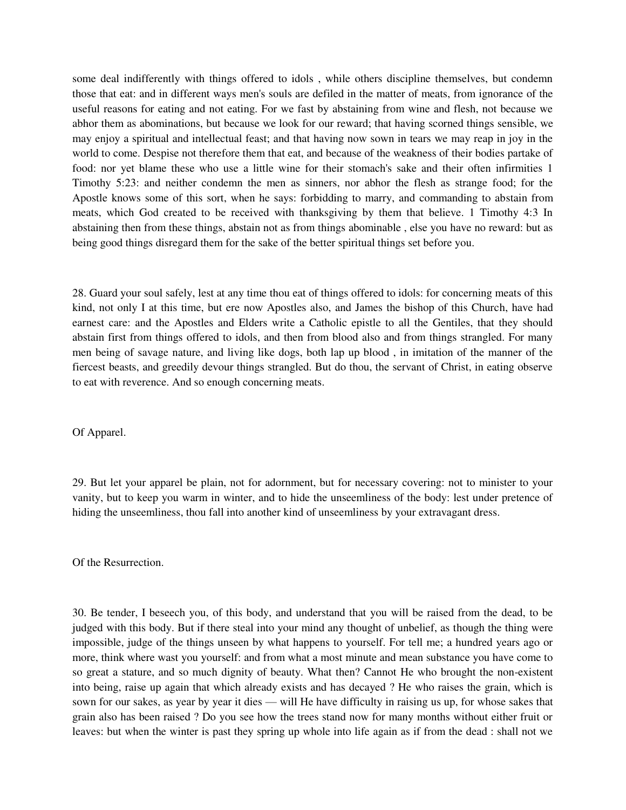some deal indifferently with things offered to idols , while others discipline themselves, but condemn those that eat: and in different ways men's souls are defiled in the matter of meats, from ignorance of the useful reasons for eating and not eating. For we fast by abstaining from wine and flesh, not because we abhor them as abominations, but because we look for our reward; that having scorned things sensible, we may enjoy a spiritual and intellectual feast; and that having now sown in tears we may reap in joy in the world to come. Despise not therefore them that eat, and because of the weakness of their bodies partake of food: nor yet blame these who use a little wine for their stomach's sake and their often infirmities 1 Timothy 5:23: and neither condemn the men as sinners, nor abhor the flesh as strange food; for the Apostle knows some of this sort, when he says: forbidding to marry, and commanding to abstain from meats, which God created to be received with thanksgiving by them that believe. 1 Timothy 4:3 In abstaining then from these things, abstain not as from things abominable , else you have no reward: but as being good things disregard them for the sake of the better spiritual things set before you.

28. Guard your soul safely, lest at any time thou eat of things offered to idols: for concerning meats of this kind, not only I at this time, but ere now Apostles also, and James the bishop of this Church, have had earnest care: and the Apostles and Elders write a Catholic epistle to all the Gentiles, that they should abstain first from things offered to idols, and then from blood also and from things strangled. For many men being of savage nature, and living like dogs, both lap up blood , in imitation of the manner of the fiercest beasts, and greedily devour things strangled. But do thou, the servant of Christ, in eating observe to eat with reverence. And so enough concerning meats.

Of Apparel.

29. But let your apparel be plain, not for adornment, but for necessary covering: not to minister to your vanity, but to keep you warm in winter, and to hide the unseemliness of the body: lest under pretence of hiding the unseemliness, thou fall into another kind of unseemliness by your extravagant dress.

Of the Resurrection.

30. Be tender, I beseech you, of this body, and understand that you will be raised from the dead, to be judged with this body. But if there steal into your mind any thought of unbelief, as though the thing were impossible, judge of the things unseen by what happens to yourself. For tell me; a hundred years ago or more, think where wast you yourself: and from what a most minute and mean substance you have come to so great a stature, and so much dignity of beauty. What then? Cannot He who brought the non-existent into being, raise up again that which already exists and has decayed ? He who raises the grain, which is sown for our sakes, as year by year it dies — will He have difficulty in raising us up, for whose sakes that grain also has been raised ? Do you see how the trees stand now for many months without either fruit or leaves: but when the winter is past they spring up whole into life again as if from the dead : shall not we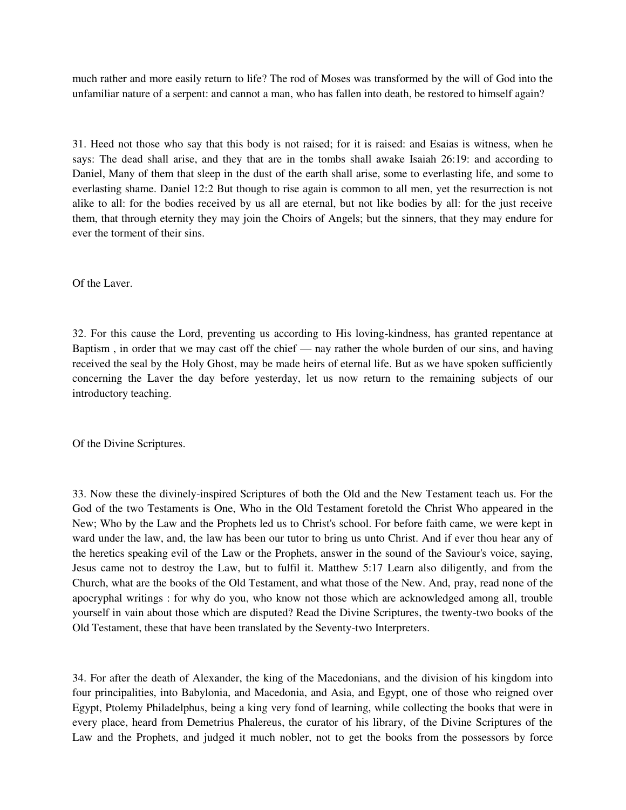much rather and more easily return to life? The rod of Moses was transformed by the will of God into the unfamiliar nature of a serpent: and cannot a man, who has fallen into death, be restored to himself again?

31. Heed not those who say that this body is not raised; for it is raised: and Esaias is witness, when he says: The dead shall arise, and they that are in the tombs shall awake Isaiah 26:19: and according to Daniel, Many of them that sleep in the dust of the earth shall arise, some to everlasting life, and some to everlasting shame. Daniel 12:2 But though to rise again is common to all men, yet the resurrection is not alike to all: for the bodies received by us all are eternal, but not like bodies by all: for the just receive them, that through eternity they may join the Choirs of Angels; but the sinners, that they may endure for ever the torment of their sins.

Of the Laver.

32. For this cause the Lord, preventing us according to His loving-kindness, has granted repentance at Baptism , in order that we may cast off the chief — nay rather the whole burden of our sins, and having received the seal by the Holy Ghost, may be made heirs of eternal life. But as we have spoken sufficiently concerning the Laver the day before yesterday, let us now return to the remaining subjects of our introductory teaching.

Of the Divine Scriptures.

33. Now these the divinely-inspired Scriptures of both the Old and the New Testament teach us. For the God of the two Testaments is One, Who in the Old Testament foretold the Christ Who appeared in the New; Who by the Law and the Prophets led us to Christ's school. For before faith came, we were kept in ward under the law, and, the law has been our tutor to bring us unto Christ. And if ever thou hear any of the heretics speaking evil of the Law or the Prophets, answer in the sound of the Saviour's voice, saying, Jesus came not to destroy the Law, but to fulfil it. Matthew 5:17 Learn also diligently, and from the Church, what are the books of the Old Testament, and what those of the New. And, pray, read none of the apocryphal writings : for why do you, who know not those which are acknowledged among all, trouble yourself in vain about those which are disputed? Read the Divine Scriptures, the twenty-two books of the Old Testament, these that have been translated by the Seventy-two Interpreters.

34. For after the death of Alexander, the king of the Macedonians, and the division of his kingdom into four principalities, into Babylonia, and Macedonia, and Asia, and Egypt, one of those who reigned over Egypt, Ptolemy Philadelphus, being a king very fond of learning, while collecting the books that were in every place, heard from Demetrius Phalereus, the curator of his library, of the Divine Scriptures of the Law and the Prophets, and judged it much nobler, not to get the books from the possessors by force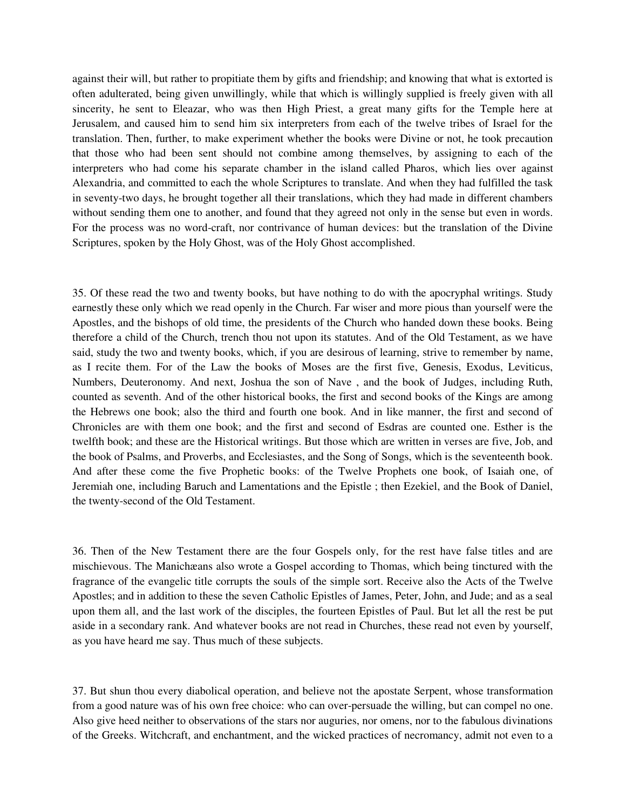against their will, but rather to propitiate them by gifts and friendship; and knowing that what is extorted is often adulterated, being given unwillingly, while that which is willingly supplied is freely given with all sincerity, he sent to Eleazar, who was then High Priest, a great many gifts for the Temple here at Jerusalem, and caused him to send him six interpreters from each of the twelve tribes of Israel for the translation. Then, further, to make experiment whether the books were Divine or not, he took precaution that those who had been sent should not combine among themselves, by assigning to each of the interpreters who had come his separate chamber in the island called Pharos, which lies over against Alexandria, and committed to each the whole Scriptures to translate. And when they had fulfilled the task in seventy-two days, he brought together all their translations, which they had made in different chambers without sending them one to another, and found that they agreed not only in the sense but even in words. For the process was no word-craft, nor contrivance of human devices: but the translation of the Divine Scriptures, spoken by the Holy Ghost, was of the Holy Ghost accomplished.

35. Of these read the two and twenty books, but have nothing to do with the apocryphal writings. Study earnestly these only which we read openly in the Church. Far wiser and more pious than yourself were the Apostles, and the bishops of old time, the presidents of the Church who handed down these books. Being therefore a child of the Church, trench thou not upon its statutes. And of the Old Testament, as we have said, study the two and twenty books, which, if you are desirous of learning, strive to remember by name, as I recite them. For of the Law the books of Moses are the first five, Genesis, Exodus, Leviticus, Numbers, Deuteronomy. And next, Joshua the son of Nave , and the book of Judges, including Ruth, counted as seventh. And of the other historical books, the first and second books of the Kings are among the Hebrews one book; also the third and fourth one book. And in like manner, the first and second of Chronicles are with them one book; and the first and second of Esdras are counted one. Esther is the twelfth book; and these are the Historical writings. But those which are written in verses are five, Job, and the book of Psalms, and Proverbs, and Ecclesiastes, and the Song of Songs, which is the seventeenth book. And after these come the five Prophetic books: of the Twelve Prophets one book, of Isaiah one, of Jeremiah one, including Baruch and Lamentations and the Epistle ; then Ezekiel, and the Book of Daniel, the twenty-second of the Old Testament.

36. Then of the New Testament there are the four Gospels only, for the rest have false titles and are mischievous. The Manichæans also wrote a Gospel according to Thomas, which being tinctured with the fragrance of the evangelic title corrupts the souls of the simple sort. Receive also the Acts of the Twelve Apostles; and in addition to these the seven Catholic Epistles of James, Peter, John, and Jude; and as a seal upon them all, and the last work of the disciples, the fourteen Epistles of Paul. But let all the rest be put aside in a secondary rank. And whatever books are not read in Churches, these read not even by yourself, as you have heard me say. Thus much of these subjects.

37. But shun thou every diabolical operation, and believe not the apostate Serpent, whose transformation from a good nature was of his own free choice: who can over-persuade the willing, but can compel no one. Also give heed neither to observations of the stars nor auguries, nor omens, nor to the fabulous divinations of the Greeks. Witchcraft, and enchantment, and the wicked practices of necromancy, admit not even to a